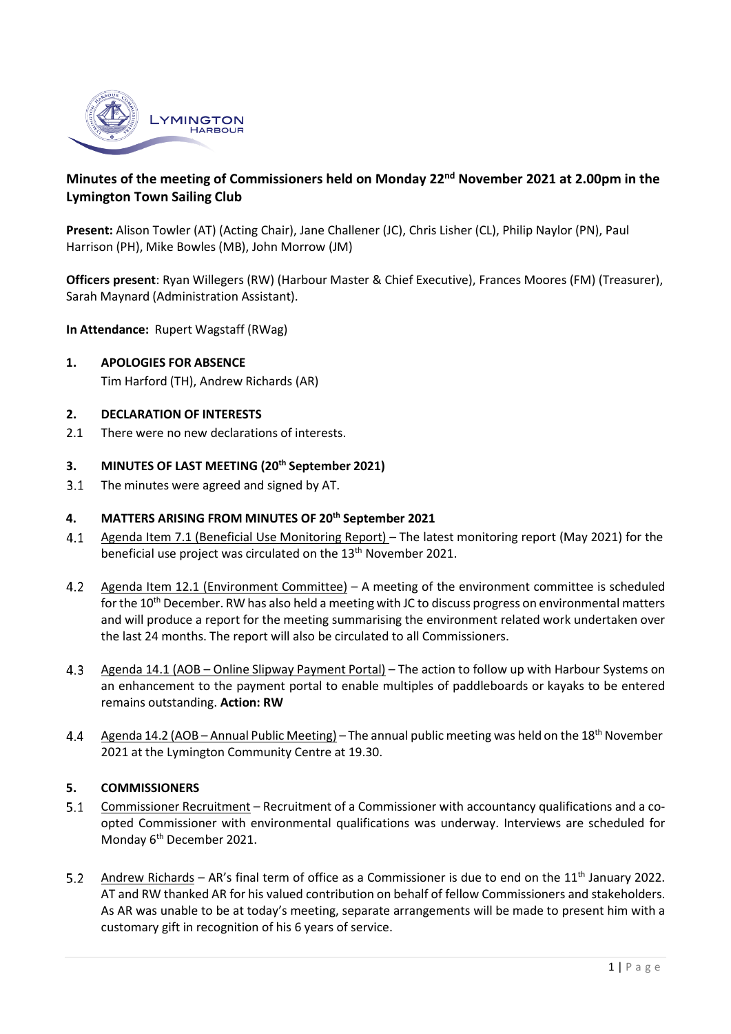

# **Minutes of the meeting of Commissioners held on Monday 22nd November 2021 at 2.00pm in the Lymington Town Sailing Club**

**Present:** Alison Towler (AT) (Acting Chair), Jane Challener (JC), Chris Lisher (CL), Philip Naylor (PN), Paul Harrison (PH), Mike Bowles (MB), John Morrow (JM)

**Officers present**: Ryan Willegers (RW) (Harbour Master & Chief Executive), Frances Moores (FM) (Treasurer), Sarah Maynard (Administration Assistant).

**In Attendance:** Rupert Wagstaff (RWag)

**1. APOLOGIES FOR ABSENCE**

Tim Harford (TH), Andrew Richards (AR)

#### **2. DECLARATION OF INTERESTS**

2.1 There were no new declarations of interests.

#### **3. MINUTES OF LAST MEETING (20th September 2021)**

The minutes were agreed and signed by AT.  $3.1$ 

## **4. MATTERS ARISING FROM MINUTES OF 20th September 2021**

- Agenda Item 7.1 (Beneficial Use Monitoring Report) The latest monitoring report (May 2021) for the  $4.1$ beneficial use project was circulated on the 13<sup>th</sup> November 2021.
- Agenda Item 12.1 (Environment Committee) A meeting of the environment committee is scheduled  $4.2$ for the 10<sup>th</sup> December. RW has also held a meeting with JC to discuss progress on environmental matters and will produce a report for the meeting summarising the environment related work undertaken over the last 24 months. The report will also be circulated to all Commissioners.
- $4.3$ Agenda 14.1 (AOB – Online Slipway Payment Portal) – The action to follow up with Harbour Systems on an enhancement to the payment portal to enable multiples of paddleboards or kayaks to be entered remains outstanding. **Action: RW**
- Agenda 14.2 (AOB Annual Public Meeting) The annual public meeting was held on the 18<sup>th</sup> November 4.4 2021 at the Lymington Community Centre at 19.30.

### **5. COMMISSIONERS**

- $5.1$ Commissioner Recruitment – Recruitment of a Commissioner with accountancy qualifications and a coopted Commissioner with environmental qualifications was underway. Interviews are scheduled for Monday 6<sup>th</sup> December 2021.
- $5.2$ Andrew Richards – AR's final term of office as a Commissioner is due to end on the  $11<sup>th</sup>$  January 2022. AT and RW thanked AR for his valued contribution on behalf of fellow Commissioners and stakeholders. As AR was unable to be at today's meeting, separate arrangements will be made to present him with a customary gift in recognition of his 6 years of service.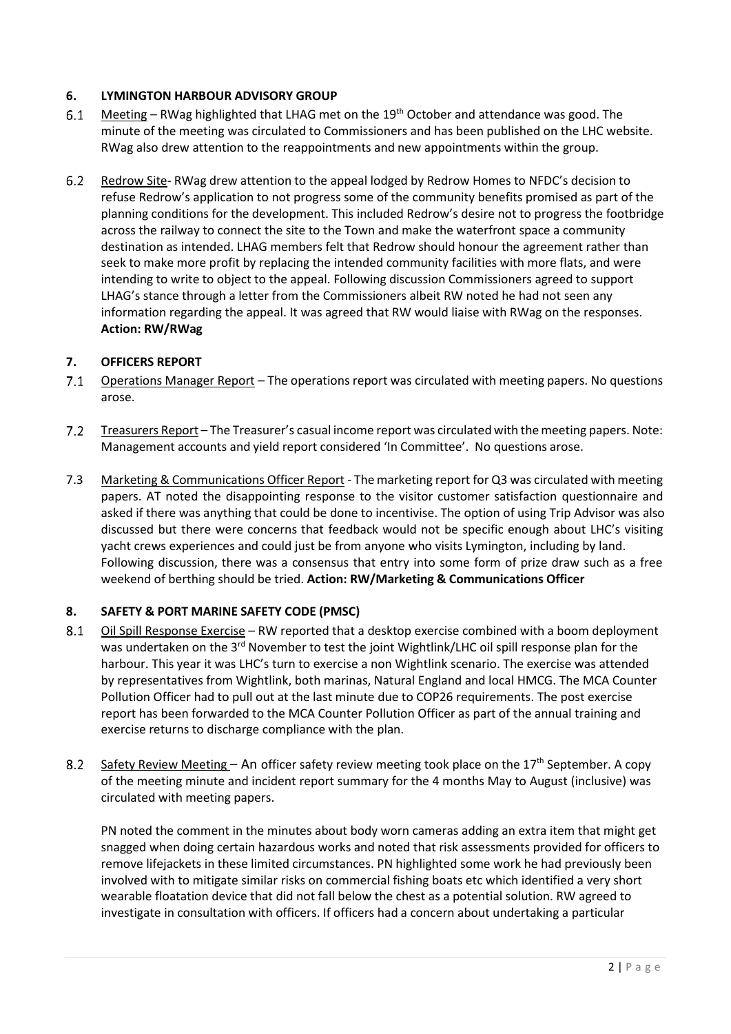## **6. LYMINGTON HARBOUR ADVISORY GROUP**

- $6.1$ Meeting – RWag highlighted that LHAG met on the 19<sup>th</sup> October and attendance was good. The minute of the meeting was circulated to Commissioners and has been published on the LHC website. RWag also drew attention to the reappointments and new appointments within the group.
- $6.2$ Redrow Site- RWag drew attention to the appeal lodged by Redrow Homes to NFDC's decision to refuse Redrow's application to not progress some of the community benefits promised as part of the planning conditions for the development. This included Redrow's desire not to progress the footbridge across the railway to connect the site to the Town and make the waterfront space a community destination as intended. LHAG members felt that Redrow should honour the agreement rather than seek to make more profit by replacing the intended community facilities with more flats, and were intending to write to object to the appeal. Following discussion Commissioners agreed to support LHAG's stance through a letter from the Commissioners albeit RW noted he had not seen any information regarding the appeal. It was agreed that RW would liaise with RWag on the responses. **Action: RW/RWag**

## **7. OFFICERS REPORT**

- $7.1$ Operations Manager Report – The operations report was circulated with meeting papers. No questions arose.
- $7.2$ Treasurers Report – The Treasurer's casual income report was circulated with themeeting papers. Note: Management accounts and yield report considered 'In Committee'. No questions arose.
- 7.3 Marketing & Communications Officer Report The marketing report for Q3 was circulated with meeting papers. AT noted the disappointing response to the visitor customer satisfaction questionnaire and asked if there was anything that could be done to incentivise. The option of using Trip Advisor was also discussed but there were concerns that feedback would not be specific enough about LHC's visiting yacht crews experiences and could just be from anyone who visits Lymington, including by land. Following discussion, there was a consensus that entry into some form of prize draw such as a free weekend of berthing should be tried. **Action: RW/Marketing & Communications Officer**

### **8. SAFETY & PORT MARINE SAFETY CODE (PMSC)**

- 8.1 Oil Spill Response Exercise – RW reported that a desktop exercise combined with a boom deployment was undertaken on the 3<sup>rd</sup> November to test the joint Wightlink/LHC oil spill response plan for the harbour. This year it was LHC's turn to exercise a non Wightlink scenario. The exercise was attended by representatives from Wightlink, both marinas, Natural England and local HMCG. The MCA Counter Pollution Officer had to pull out at the last minute due to COP26 requirements. The post exercise report has been forwarded to the MCA Counter Pollution Officer as part of the annual training and exercise returns to discharge compliance with the plan.
- $8.2$ Safety Review Meeting – An officer safety review meeting took place on the  $17<sup>th</sup>$  September. A copy of the meeting minute and incident report summary for the 4 months May to August (inclusive) was circulated with meeting papers.

PN noted the comment in the minutes about body worn cameras adding an extra item that might get snagged when doing certain hazardous works and noted that risk assessments provided for officers to remove lifejackets in these limited circumstances. PN highlighted some work he had previously been involved with to mitigate similar risks on commercial fishing boats etc which identified a very short wearable floatation device that did not fall below the chest as a potential solution. RW agreed to investigate in consultation with officers. If officers had a concern about undertaking a particular